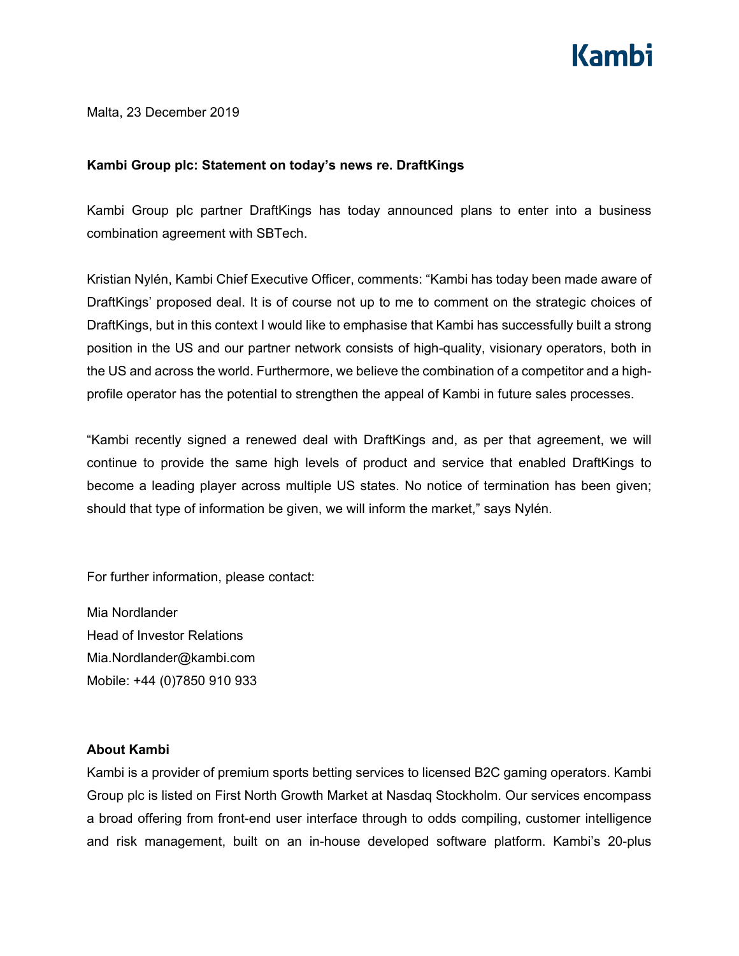## Kamhi

Malta, 23 December 2019

## **Kambi Group plc: Statement on today's news re. DraftKings**

Kambi Group plc partner DraftKings has today announced plans to enter into a business combination agreement with SBTech.

Kristian Nylén, Kambi Chief Executive Officer, comments: "Kambi has today been made aware of DraftKings' proposed deal. It is of course not up to me to comment on the strategic choices of DraftKings, but in this context I would like to emphasise that Kambi has successfully built a strong position in the US and our partner network consists of high-quality, visionary operators, both in the US and across the world. Furthermore, we believe the combination of a competitor and a highprofile operator has the potential to strengthen the appeal of Kambi in future sales processes.

"Kambi recently signed a renewed deal with DraftKings and, as per that agreement, we will continue to provide the same high levels of product and service that enabled DraftKings to become a leading player across multiple US states. No notice of termination has been given; should that type of information be given, we will inform the market," says Nylén.

For further information, please contact:

Mia Nordlander Head of Investor Relations Mia.Nordlander@kambi.com Mobile: +44 (0)7850 910 933

## **About Kambi**

Kambi is a provider of premium sports betting services to licensed B2C gaming operators. Kambi Group plc is listed on First North Growth Market at Nasdaq Stockholm. Our services encompass a broad offering from front-end user interface through to odds compiling, customer intelligence and risk management, built on an in-house developed software platform. Kambi's 20-plus